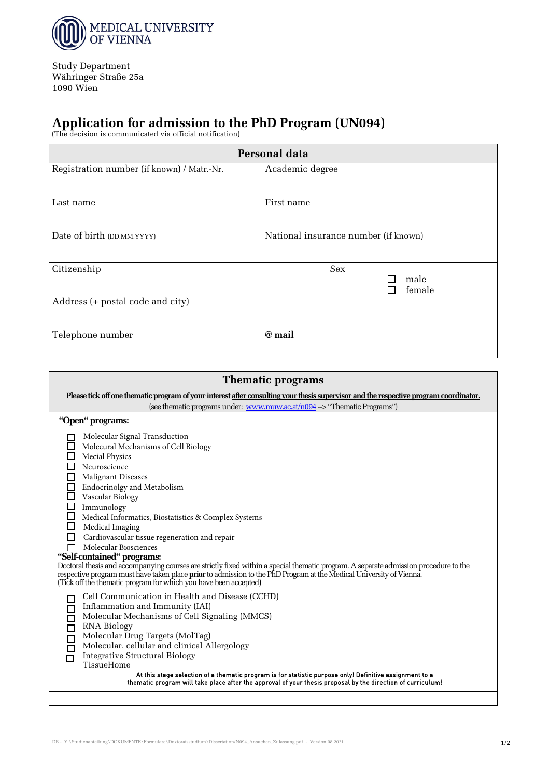

Study Department Währinger Straße 25a 1090 Wien

 $\mathsf{r}$ 

## **Application for admission to the PhD Program (UN094)**  (The decision is communicated via official notification)

| Personal data                              |                                      |  |  |  |  |  |
|--------------------------------------------|--------------------------------------|--|--|--|--|--|
| Registration number (if known) / Matr.-Nr. | Academic degree                      |  |  |  |  |  |
| Last name                                  | First name                           |  |  |  |  |  |
| Date of birth (DD.MM.YYYY)                 | National insurance number (if known) |  |  |  |  |  |
| Citizenship                                | Sex<br>male<br>female                |  |  |  |  |  |
| Address (+ postal code and city)           |                                      |  |  |  |  |  |
| Telephone number                           | @ mail                               |  |  |  |  |  |

| Please tick off one thematic program of your interest after consulting your thesis supervisor and the respective program coordinator.                                                                                                                                                                                                                                                                                                                                                                                                                                                                                                                                                                                                                                       |  |  |  |  |  |
|-----------------------------------------------------------------------------------------------------------------------------------------------------------------------------------------------------------------------------------------------------------------------------------------------------------------------------------------------------------------------------------------------------------------------------------------------------------------------------------------------------------------------------------------------------------------------------------------------------------------------------------------------------------------------------------------------------------------------------------------------------------------------------|--|--|--|--|--|
| (see thematic programs under: www.muw.ac.at/n094 -> "Thematic Programs")                                                                                                                                                                                                                                                                                                                                                                                                                                                                                                                                                                                                                                                                                                    |  |  |  |  |  |
| "Open" programs:                                                                                                                                                                                                                                                                                                                                                                                                                                                                                                                                                                                                                                                                                                                                                            |  |  |  |  |  |
| Molecular Signal Transduction<br>Molecural Mechanisms of Cell Biology<br>Mecial Physics<br>Neuroscience<br>Malignant Diseases<br>□<br>$\Box$<br>Endocrinolgy and Metabolism<br>$\Box$<br>Vascular Biology<br>$\Box$<br>Immunology<br>$\Box$<br>Medical Informatics, Biostatistics & Complex Systems<br>□<br>Medical Imaging<br>Cardiovascular tissue regeneration and repair<br>Molecular Biosciences<br>П<br>"Self-contained" programs:<br>Doctoral thesis and accompanying courses are strictly fixed within a special thematic program. A separate admission procedure to the<br>respective program must have taken place prior to admission to the PhD Program at the Medical University of Vienna.<br>(Tick off the thematic program for which you have been accepted) |  |  |  |  |  |
| Cell Communication in Health and Disease (CCHD)<br>Inflammation and Immunity (IAI)<br>100000<br>Molecular Mechanisms of Cell Signaling (MMCS)<br><b>RNA Biology</b><br>Molecular Drug Targets (MolTag)<br>Molecular, cellular and clinical Allergology<br><b>Integrative Structural Biology</b><br>TissueHome<br>At this stage selection of a thematic program is for statistic purpose only! Definitive assignment to a<br>thematic program will take place after the approval of your thesis proposal by the direction of curriculum!                                                                                                                                                                                                                                     |  |  |  |  |  |
|                                                                                                                                                                                                                                                                                                                                                                                                                                                                                                                                                                                                                                                                                                                                                                             |  |  |  |  |  |